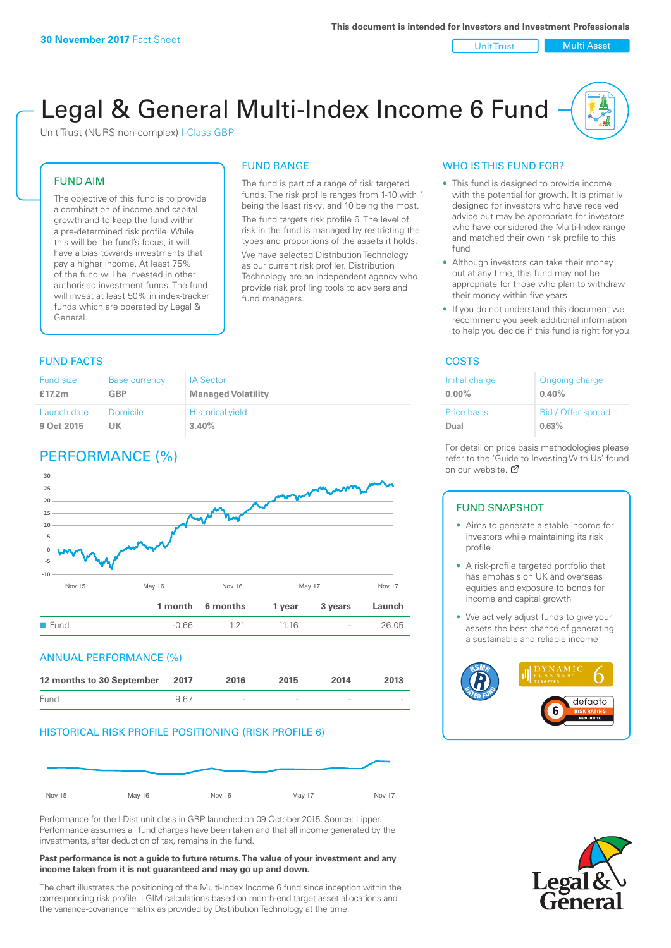Unit Trust | Multi Asset

# Legal & General Multi-Index Income 6 Fund

Unit Trust (NURS non-complex) I-Class GBP

#### FUND AIM

The objective of this fund is to provide a combination of income and capital growth and to keep the fund within a pre-determined risk profile. While this will be the fund's focus, it will have a bias towards investments that pay a higher income. At least 75% of the fund will be invested in other authorised investment funds. The fund will invest at least 50% in index-tracker funds which are operated by Legal & General.

# FUND RANGE

The fund is part of a range of risk targeted funds. The risk profile ranges from 1-10 with 1 being the least risky, and 10 being the most. The fund targets risk profile 6. The level of risk in the fund is managed by restricting the

types and proportions of the assets it holds. We have selected Distribution Technology as our current risk profiler. Distribution Technology are an independent agency who provide risk profiling tools to advisers and fund managers.

#### **FUND FACTS** COSTS

| Fund size   | <b>Base currency</b> | <b>IA Sector</b>          |
|-------------|----------------------|---------------------------|
| £17.2m      | <b>GBP</b>           | <b>Managed Volatility</b> |
| Launch date | Domicile             | <b>Historical yield</b>   |
| 9 Oct 2015  | UK                   | 3.40%                     |

# PERFORMANCE (%)



#### ANNUAL PERFORMANCE (%)



#### HISTORICAL RISK PROFILE POSITIONING (RISK PROFILE 6)



Performance for the I Dist unit class in GBP, launched on 09 October 2015. Source: Lipper. Performance assumes all fund charges have been taken and that all income generated by the investments, after deduction of tax, remains in the fund.

#### **Past performance is not a guide to future returns. The value of your investment and any income taken from it is not guaranteed and may go up and down.**

The chart illustrates the positioning of the Multi-Index Income 6 fund since inception within the corresponding risk profile. LGIM calculations based on month-end target asset allocations and the variance-covariance matrix as provided by Distribution Technology at the time.

#### WHO IS THIS FUND FOR?

- This fund is designed to provide income with the potential for growth. It is primarily designed for investors who have received advice but may be appropriate for investors who have considered the Multi-Index range and matched their own risk profile to this fund
- Although investors can take their money out at any time, this fund may not be appropriate for those who plan to withdraw their money within five years
- If you do not understand this document we recommend you seek additional information to help you decide if this fund is right for you

| Initial charge     | Ongoing charge     |
|--------------------|--------------------|
| $0.00\%$           | 0.40%              |
| <b>Price basis</b> | Bid / Offer spread |
| Dual               | 0.63%              |

For detail on price basis methodologies please refer to the 'Gu[ide t](http://www.legalandgeneral.com/guide)o Investing With Us' found on our website. Ø

#### FUND SNAPSHOT

- Aims to generate a stable income for investors while maintaining its risk profile
- A risk-profile targeted portfolio that has emphasis on UK and overseas equities and exposure to bonds for income and capital growth
- We actively adjust funds to give your assets the best chance of generating a sustainable and reliable income



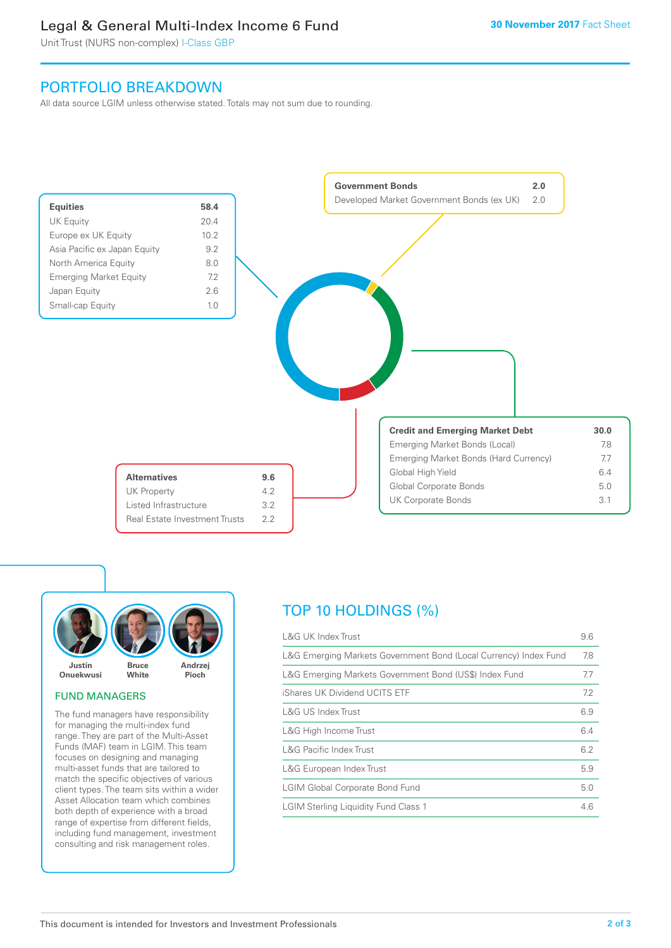# Legal & General Multi-Index Income 6 Fund

Unit Trust (NURS non-complex) I-Class GBP

## PORTFOLIO BREAKDOWN

All data source LGIM unless otherwise stated. Totals may not sum due to rounding.





#### FUND MANAGERS

The fund managers have responsibility for managing the multi-index fund range. They are part of the Multi-Asset Funds (MAF) team in LGIM. This team focuses on designing and managing multi-asset funds that are tailored to match the specific objectives of various client types. The team sits within a wider Asset Allocation team which combines both depth of experience with a broad range of expertise from different fields, including fund management, investment consulting and risk management roles.

# TOP 10 HOLDINGS (%)

| <b>L&amp;G UK Index Trust</b>                                    | 9.6 |
|------------------------------------------------------------------|-----|
| L&G Emerging Markets Government Bond (Local Currency) Index Fund | 7.8 |
| L&G Emerging Markets Government Bond (US\$) Index Fund           | 7.7 |
| iShares UK Dividend UCITS ETF                                    | 7.2 |
| <b>L&amp;G US Index Trust</b>                                    | 6.9 |
| L&G High Income Trust                                            | 6.4 |
| <b>L&amp;G Pacific Index Trust</b>                               | 6.2 |
| L&G European Index Trust                                         | 5.9 |
| <b>LGIM Global Corporate Bond Fund</b>                           | 5.0 |
| <b>LGIM Sterling Liquidity Fund Class 1</b>                      | 4.6 |